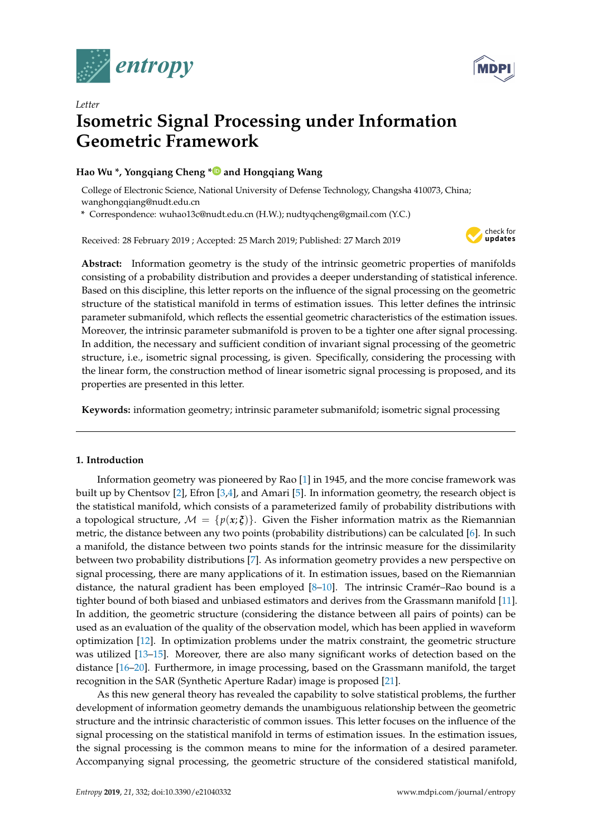

*Letter*



# **Isometric Signal Processing under Information Geometric Framework**

## **Hao Wu \*, Yongqiang Cheng [\\*](https://orcid.org/0000-0002-0127-384X) and Hongqiang Wang**

College of Electronic Science, National University of Defense Technology, Changsha 410073, China; wanghongqiang@nudt.edu.cn

**\*** Correspondence: wuhao13c@nudt.edu.cn (H.W.); nudtyqcheng@gmail.com (Y.C.)

Received: 28 February 2019 ; Accepted: 25 March 2019; Published: 27 March 2019



**Abstract:** Information geometry is the study of the intrinsic geometric properties of manifolds consisting of a probability distribution and provides a deeper understanding of statistical inference. Based on this discipline, this letter reports on the influence of the signal processing on the geometric structure of the statistical manifold in terms of estimation issues. This letter defines the intrinsic parameter submanifold, which reflects the essential geometric characteristics of the estimation issues. Moreover, the intrinsic parameter submanifold is proven to be a tighter one after signal processing. In addition, the necessary and sufficient condition of invariant signal processing of the geometric structure, i.e., isometric signal processing, is given. Specifically, considering the processing with the linear form, the construction method of linear isometric signal processing is proposed, and its properties are presented in this letter.

**Keywords:** information geometry; intrinsic parameter submanifold; isometric signal processing

## **1. Introduction**

Information geometry was pioneered by Rao [\[1\]](#page-7-0) in 1945, and the more concise framework was built up by Chentsov [\[2\]](#page-7-1), Efron [\[3,](#page-7-2)[4\]](#page-7-3), and Amari [\[5\]](#page-7-4). In information geometry, the research object is the statistical manifold, which consists of a parameterized family of probability distributions with a topological structure,  $M = \{p(x; \xi)\}\.$  Given the Fisher information matrix as the Riemannian metric, the distance between any two points (probability distributions) can be calculated [\[6\]](#page-7-5). In such a manifold, the distance between two points stands for the intrinsic measure for the dissimilarity between two probability distributions [\[7\]](#page-7-6). As information geometry provides a new perspective on signal processing, there are many applications of it. In estimation issues, based on the Riemannian distance, the natural gradient has been employed  $[8-10]$  $[8-10]$ . The intrinsic Cramér–Rao bound is a tighter bound of both biased and unbiased estimators and derives from the Grassmann manifold [\[11\]](#page-7-9). In addition, the geometric structure (considering the distance between all pairs of points) can be used as an evaluation of the quality of the observation model, which has been applied in waveform optimization [\[12\]](#page-7-10). In optimization problems under the matrix constraint, the geometric structure was utilized [\[13](#page-7-11)[–15\]](#page-7-12). Moreover, there are also many significant works of detection based on the distance [\[16](#page-8-0)[–20\]](#page-8-1). Furthermore, in image processing, based on the Grassmann manifold, the target recognition in the SAR (Synthetic Aperture Radar) image is proposed [\[21\]](#page-8-2).

As this new general theory has revealed the capability to solve statistical problems, the further development of information geometry demands the unambiguous relationship between the geometric structure and the intrinsic characteristic of common issues. This letter focuses on the influence of the signal processing on the statistical manifold in terms of estimation issues. In the estimation issues, the signal processing is the common means to mine for the information of a desired parameter. Accompanying signal processing, the geometric structure of the considered statistical manifold,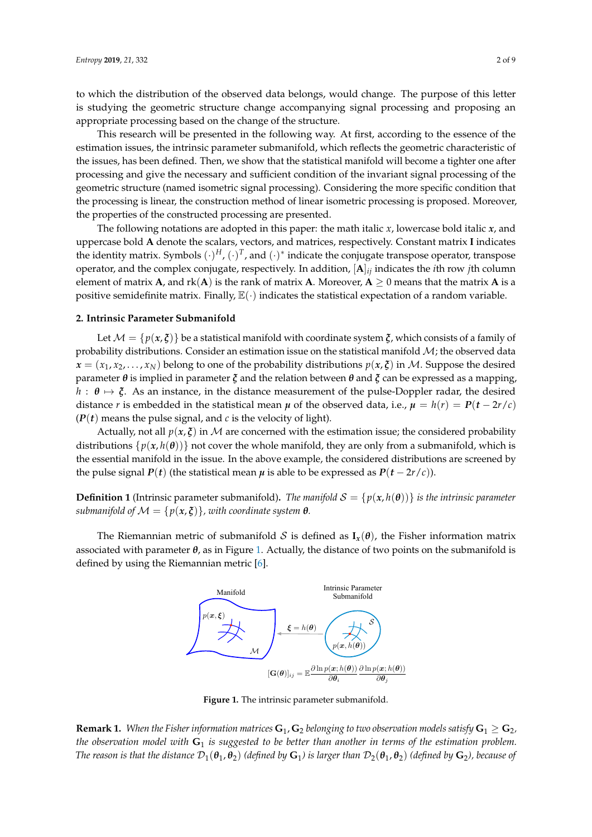to which the distribution of the observed data belongs, would change. The purpose of this letter is studying the geometric structure change accompanying signal processing and proposing an appropriate processing based on the change of the structure.

This research will be presented in the following way. At first, according to the essence of the estimation issues, the intrinsic parameter submanifold, which reflects the geometric characteristic of the issues, has been defined. Then, we show that the statistical manifold will become a tighter one after processing and give the necessary and sufficient condition of the invariant signal processing of the geometric structure (named isometric signal processing). Considering the more specific condition that the processing is linear, the construction method of linear isometric processing is proposed. Moreover, the properties of the constructed processing are presented.

The following notations are adopted in this paper: the math italic *x*, lowercase bold italic *x*, and uppercase bold **A** denote the scalars, vectors, and matrices, respectively. Constant matrix **I** indicates the identity matrix. Symbols  $(\cdot)^H$ ,  $(\cdot)^T$ , and  $(\cdot)^*$  indicate the conjugate transpose operator, transpose operator, and the complex conjugate, respectively. In addition, [**A**]*ij* indicates the *i*th row *j*th column element of matrix **A**, and  $rk(A)$  is the rank of matrix **A**. Moreover,  $A \ge 0$  means that the matrix **A** is a positive semidefinite matrix. Finally,  $\mathbb{E}(\cdot)$  indicates the statistical expectation of a random variable.

## **2. Intrinsic Parameter Submanifold**

Let  $M = \{p(x, \xi)\}\$ be a statistical manifold with coordinate system  $\xi$ , which consists of a family of probability distributions. Consider an estimation issue on the statistical manifold  $M$ ; the observed data  $x = (x_1, x_2, \ldots, x_N)$  belong to one of the probability distributions  $p(x, \xi)$  in M. Suppose the desired parameter *θ* is implied in parameter *ξ* and the relation between *θ* and *ξ* can be expressed as a mapping,  $h : \theta \mapsto \xi$ . As an instance, in the distance measurement of the pulse-Doppler radar, the desired distance *r* is embedded in the statistical mean  $\mu$  of the observed data, i.e.,  $\mu = h(r) = P(t - 2r/c)$  $(P(t))$  means the pulse signal, and *c* is the velocity of light).

Actually, not all  $p(x, \xi)$  in M are concerned with the estimation issue; the considered probability distributions  $\{p(x, h(\theta))\}$  not cover the whole manifold, they are only from a submanifold, which is the essential manifold in the issue. In the above example, the considered distributions are screened by the pulse signal *P*(*t*) (the statistical mean  $\mu$  is able to be expressed as *P*(*t* − 2*r*/*c*)).

**Definition 1** (Intrinsic parameter submanifold). The manifold  $S = \{p(x, h(\theta))\}$  is the intrinsic parameter *submanifold of*  $\mathcal{M} = \{p(x,\xi)\}\$ , with coordinate system  $\theta$ .

<span id="page-1-0"></span>The Riemannian metric of submanifold S is defined as  $\mathbf{I}_x(\theta)$ , the Fisher information matrix associated with parameter *θ*, as in Figure [1.](#page-1-0) Actually, the distance of two points on the submanifold is defined by using the Riemannian metric [\[6\]](#page-7-5).



**Figure 1.** The intrinsic parameter submanifold.

**Remark 1.** *When the Fisher information matrices*  $G_1$ ,  $G_2$  *belonging to two observation models satisfy*  $G_1 \geq G_2$ *, the observation model with* **G**<sup>1</sup> *is suggested to be better than another in terms of the estimation problem. The reason is that the distance*  $\mathcal{D}_1(\theta_1, \theta_2)$  *(defined by*  $\mathbf{G}_1$ *) is larger than*  $\mathcal{D}_2(\theta_1, \theta_2)$  *(defined by*  $\mathbf{G}_2$ *), because of*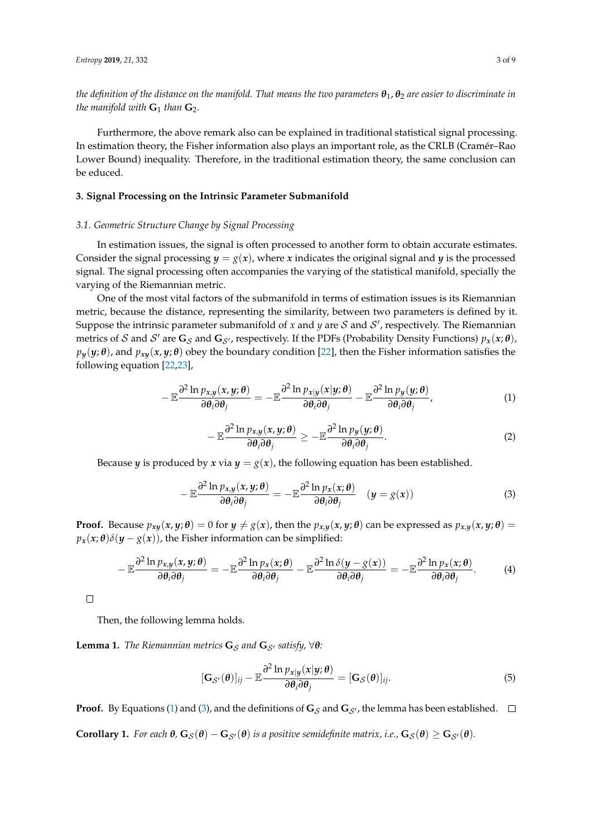*the definition of the distance on the manifold. That means the two parameters θ*1, *θ*<sup>2</sup> *are easier to discriminate in the manifold with*  $G_1$  *than*  $G_2$ *.* 

Furthermore, the above remark also can be explained in traditional statistical signal processing. In estimation theory, the Fisher information also plays an important role, as the CRLB (Cramér–Rao Lower Bound) inequality. Therefore, in the traditional estimation theory, the same conclusion can be educed.

## **3. Signal Processing on the Intrinsic Parameter Submanifold**

### *3.1. Geometric Structure Change by Signal Processing*

In estimation issues, the signal is often processed to another form to obtain accurate estimates. Consider the signal processing  $y = g(x)$ , where *x* indicates the original signal and *y* is the processed signal. The signal processing often accompanies the varying of the statistical manifold, specially the varying of the Riemannian metric.

One of the most vital factors of the submanifold in terms of estimation issues is its Riemannian metric, because the distance, representing the similarity, between two parameters is defined by it. Suppose the intrinsic parameter submanifold of  $x$  and  $y$  are  ${\cal S}$  and  ${\cal S}'$ , respectively. The Riemannian metrics of S and S' are  $G_S$  and  $G_{S'}$ , respectively. If the PDFs (Probability Density Functions)  $p_x(x;\theta)$ ,  $p_y(y; \theta)$ , and  $p_{xy}(x, y; \theta)$  obey the boundary condition [\[22\]](#page-8-3), then the Fisher information satisfies the following equation [\[22,](#page-8-3)[23\]](#page-8-4),

<span id="page-2-0"></span>
$$
-\mathbb{E}\frac{\partial^2\ln p_{x,y}(x,y;\theta)}{\partial\theta_i\partial\theta_j}=-\mathbb{E}\frac{\partial^2\ln p_{x|y}(x|y;\theta)}{\partial\theta_i\partial\theta_j}-\mathbb{E}\frac{\partial^2\ln p_{y}(y;\theta)}{\partial\theta_i\partial\theta_j},\qquad (1)
$$

<span id="page-2-2"></span>
$$
-\mathbb{E}\frac{\partial^2\ln p_{x,y}(x,y;\theta)}{\partial\theta_i\partial\theta_j}\geq -\mathbb{E}\frac{\partial^2\ln p_y(y;\theta)}{\partial\theta_i\partial\theta_j}.
$$
 (2)

Because *y* is produced by *x* via  $y = g(x)$ , the following equation has been established.

<span id="page-2-1"></span>
$$
-\mathbb{E}\frac{\partial^2 \ln p_{x,y}(x,y;\theta)}{\partial \theta_i \partial \theta_j} = -\mathbb{E}\frac{\partial^2 \ln p_x(x;\theta)}{\partial \theta_i \partial \theta_j} \quad (y = g(x)) \tag{3}
$$

**Proof.** Because  $p_{xy}(x, y; \theta) = 0$  for  $y \neq g(x)$ , then the  $p_{x,y}(x, y; \theta)$  can be expressed as  $p_{x,y}(x, y; \theta) =$  $p_x(x;\theta)\delta(y-g(x))$ , the Fisher information can be simplified:

$$
-\mathbb{E}\frac{\partial^2\ln p_{x,y}(x,y;\theta)}{\partial\theta_i\partial\theta_j}=-\mathbb{E}\frac{\partial^2\ln p_x(x;\theta)}{\partial\theta_i\partial\theta_j}-\mathbb{E}\frac{\partial^2\ln \delta(y-g(x))}{\partial\theta_i\partial\theta_j}=-\mathbb{E}\frac{\partial^2\ln p_x(x;\theta)}{\partial\theta_i\partial\theta_j}.
$$
 (4)

 $\Box$ 

Then, the following lemma holds.

<span id="page-2-3"></span>**Lemma 1.** *The Riemannian metrics*  $\mathbf{G}_{\mathcal{S}}$  *and*  $\mathbf{G}_{\mathcal{S}'}$  *satisfy*,  $\forall \theta$ *:* 

$$
[\mathbf{G}_{\mathcal{S}'}(\boldsymbol{\theta})]_{ij} - \mathbb{E} \frac{\partial^2 \ln p_{x|y}(x|y;\boldsymbol{\theta})}{\partial \boldsymbol{\theta}_i \partial \boldsymbol{\theta}_j} = [\mathbf{G}_{\mathcal{S}}(\boldsymbol{\theta})]_{ij}.
$$
 (5)

**Proof.** By Equations [\(1\)](#page-2-0) and [\(3\)](#page-2-1), and the definitions of  $\mathbf{G}_{\mathcal{S}}$  and  $\mathbf{G}_{\mathcal{S}}$ , the lemma has been established.  $\square$ 

**Corollary 1.** *For each*  $\theta$ *,*  $\mathbf{G}_{\mathcal{S}}(\theta) - \mathbf{G}_{\mathcal{S}'}(\theta)$  *is a positive semidefinite matrix, i.e.,*  $\mathbf{G}_{\mathcal{S}}(\theta) \geq \mathbf{G}_{\mathcal{S}'}(\theta)$ *.*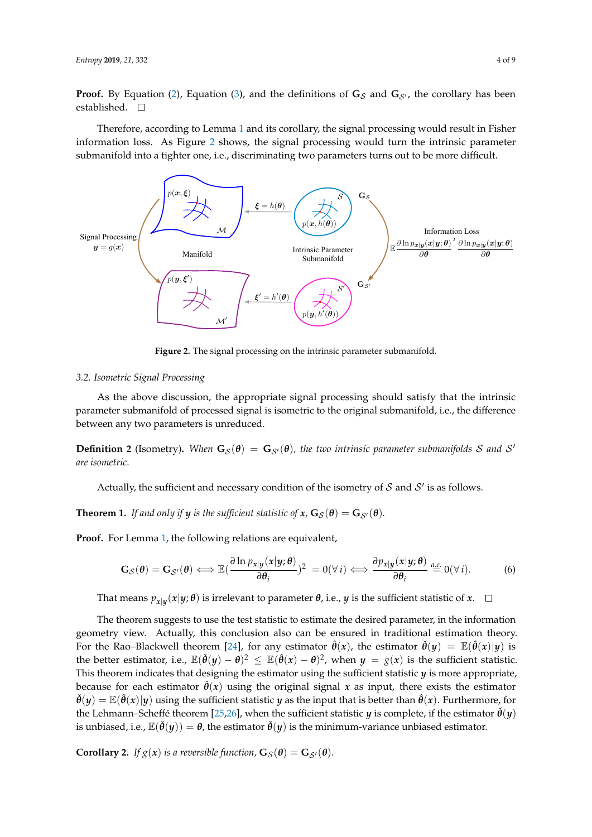**Proof.** By Equation [\(2\)](#page-2-2), Equation [\(3\)](#page-2-1), and the definitions of  $\mathbf{G}_{\mathcal{S}}$  and  $\mathbf{G}_{\mathcal{S}}$ , the corollary has been established. □

Therefore, according to Lemma [1](#page-2-3) and its corollary, the signal processing would result in Fisher information loss. As Figure [2](#page-3-0) shows, the signal processing would turn the intrinsic parameter submanifold into a tighter one, i.e., discriminating two parameters turns out to be more difficult.

<span id="page-3-0"></span>

**Figure 2.** The signal processing on the intrinsic parameter submanifold.

## *3.2. Isometric Signal Processing*

As the above discussion, the appropriate signal processing should satisfy that the intrinsic parameter submanifold of processed signal is isometric to the original submanifold, i.e., the difference between any two parameters is unreduced.

**Definition 2** (Isometry). When  $G_{\mathcal{S}}(\theta) = G_{\mathcal{S}'}(\theta)$ , the two intrinsic parameter submanifolds S and S' *are isometric.*

Actually, the sufficient and necessary condition of the isometry of  $\mathcal S$  and  $\mathcal S'$  is as follows.

<span id="page-3-1"></span>**Theorem 1.** *If and only if y is the sufficient statistic of*  $x$ *,*  $\mathbf{G}_{\mathcal{S}}(\theta) = \mathbf{G}_{\mathcal{S}'}(\theta)$ *.* 

**Proof.** For Lemma [1,](#page-2-3) the following relations are equivalent,

$$
\mathbf{G}_{\mathcal{S}}(\boldsymbol{\theta}) = \mathbf{G}_{\mathcal{S}'}(\boldsymbol{\theta}) \Longleftrightarrow \mathbb{E}(\frac{\partial \ln p_{x|y}(x|y;\boldsymbol{\theta})}{\partial \theta_i})^2 = 0(\forall i) \Longleftrightarrow \frac{\partial p_{x|y}(x|y;\boldsymbol{\theta})}{\partial \theta_i} \stackrel{a.e.}{=} 0(\forall i).
$$
 (6)

That means *px*|*<sup>y</sup>* (*x*|*y*; *θ*) is irrelevant to parameter *θ*, i.e., *y* is the sufficient statistic of *x*.

The theorem suggests to use the test statistic to estimate the desired parameter, in the information geometry view. Actually, this conclusion also can be ensured in traditional estimation theory. For the Rao–Blackwell theorem [\[24\]](#page-8-5), for any estimator  $\hat{\theta}(x)$ , the estimator  $\check{\theta}(y) = \mathbb{E}(\hat{\theta}(x)|y)$  is the better estimator, i.e.,  $\mathbb{E}(\check{\theta}(y) - \theta)^2 \leq \mathbb{E}(\hat{\theta}(x) - \theta)^2$ , when  $y = g(x)$  is the sufficient statistic. This theorem indicates that designing the estimator using the sufficient statistic  $\boldsymbol{y}$  is more appropriate, because for each estimator  $\hat{\theta}(x)$  using the original signal x as input, there exists the estimator  $\check{\theta}(y) = \mathbb{E}(\hat{\theta}(x)|y)$  using the sufficient statistic *y* as the input that is better than  $\hat{\theta}(x)$ . Furthermore, for the Lehmann–Scheffe´ theorem [\[25,](#page-8-6)[26\]](#page-8-7), when the sufficient statistic *y* is complete, if the estimator  $\dot{\theta}(y)$ is unbiased, i.e.,  $\mathbb{E}(\ddot{\theta}(\gamma)) = \theta$ , the estimator  $\ddot{\theta}(\gamma)$  is the minimum-variance unbiased estimator.

**Corollary 2.** *If*  $g(x)$  *is a reversible function,*  $\mathbf{G}_{\mathcal{S}}(\boldsymbol{\theta}) = \mathbf{G}_{\mathcal{S}'}(\boldsymbol{\theta})$ *.*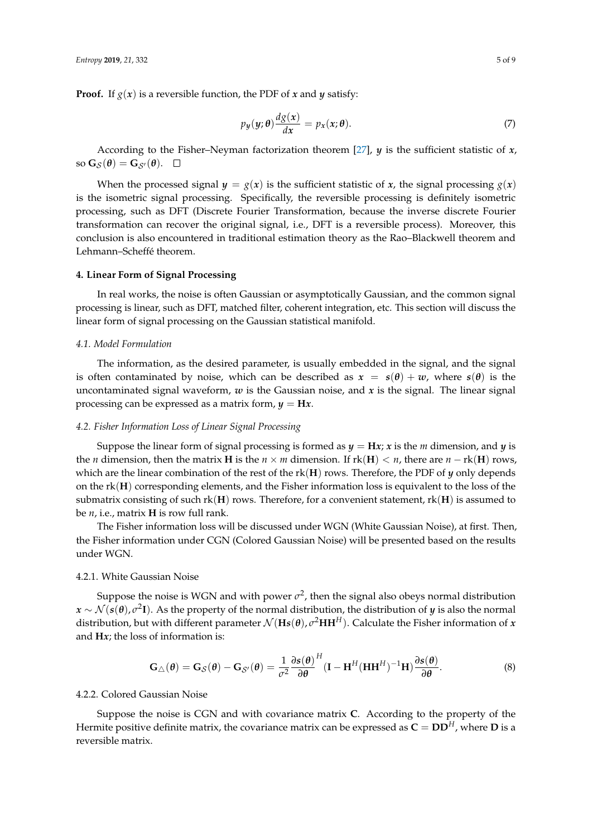**Proof.** If  $g(x)$  is a reversible function, the PDF of *x* and *y* satisfy:

$$
p_y(y; \theta) \frac{dg(x)}{dx} = p_x(x; \theta).
$$
 (7)

According to the Fisher–Neyman factorization theorem [\[27\]](#page-8-8), *y* is the sufficient statistic of *x*, so  $\mathbf{G}_{\mathcal{S}}(\boldsymbol{\theta}) = \mathbf{G}_{\mathcal{S}}(\boldsymbol{\theta}). \quad \Box$ 

When the processed signal  $y = g(x)$  is the sufficient statistic of *x*, the signal processing  $g(x)$ is the isometric signal processing. Specifically, the reversible processing is definitely isometric processing, such as DFT (Discrete Fourier Transformation, because the inverse discrete Fourier transformation can recover the original signal, i.e., DFT is a reversible process). Moreover, this conclusion is also encountered in traditional estimation theory as the Rao–Blackwell theorem and Lehmann–Scheffé theorem.

#### **4. Linear Form of Signal Processing**

In real works, the noise is often Gaussian or asymptotically Gaussian, and the common signal processing is linear, such as DFT, matched filter, coherent integration, etc. This section will discuss the linear form of signal processing on the Gaussian statistical manifold.

## *4.1. Model Formulation*

The information, as the desired parameter, is usually embedded in the signal, and the signal is often contaminated by noise, which can be described as  $x = s(\theta) + w$ , where  $s(\theta)$  is the uncontaminated signal waveform, *w* is the Gaussian noise, and *x* is the signal. The linear signal processing can be expressed as a matrix form,  $y = Hx$ .

## *4.2. Fisher Information Loss of Linear Signal Processing*

Suppose the linear form of signal processing is formed as  $y = Hx$ ; *x* is the *m* dimension, and *y* is the *n* dimension, then the matrix **H** is the *n* × *m* dimension. If  $rk(H) < n$ , there are *n* −  $rk(H)$  rows, which are the linear combination of the rest of the rk(**H**) rows. Therefore, the PDF of *y* only depends on the rk(**H**) corresponding elements, and the Fisher information loss is equivalent to the loss of the submatrix consisting of such rk(**H**) rows. Therefore, for a convenient statement, rk(**H**) is assumed to be *n*, i.e., matrix **H** is row full rank.

The Fisher information loss will be discussed under WGN (White Gaussian Noise), at first. Then, the Fisher information under CGN (Colored Gaussian Noise) will be presented based on the results under WGN.

## 4.2.1. White Gaussian Noise

Suppose the noise is WGN and with power  $\sigma^2$ , then the signal also obeys normal distribution *x* ∼ N (*s*(*θ*), *σ* 2 **I**). As the property of the normal distribution, the distribution of *y* is also the normal distribution, but with different parameter  $\mathcal{N}(\mathbf{Hs}(\theta), \sigma^2\mathbf{H}\mathbf{H}^H)$ . Calculate the Fisher information of *x* and **H***x*; the loss of information is:

<span id="page-4-0"></span>
$$
\mathbf{G}_{\triangle}(\boldsymbol{\theta}) = \mathbf{G}_{\mathcal{S}}(\boldsymbol{\theta}) - \mathbf{G}_{\mathcal{S}'}(\boldsymbol{\theta}) = \frac{1}{\sigma^2} \frac{\partial \mathbf{s}(\boldsymbol{\theta})}{\partial \boldsymbol{\theta}}^H (\mathbf{I} - \mathbf{H}^H (\mathbf{H} \mathbf{H}^H)^{-1} \mathbf{H}) \frac{\partial \mathbf{s}(\boldsymbol{\theta})}{\partial \boldsymbol{\theta}}.
$$
 (8)

#### 4.2.2. Colored Gaussian Noise

Suppose the noise is CGN and with covariance matrix **C**. According to the property of the Hermite positive definite matrix, the covariance matrix can be expressed as  $C = DD^H$ , where **D** is a reversible matrix.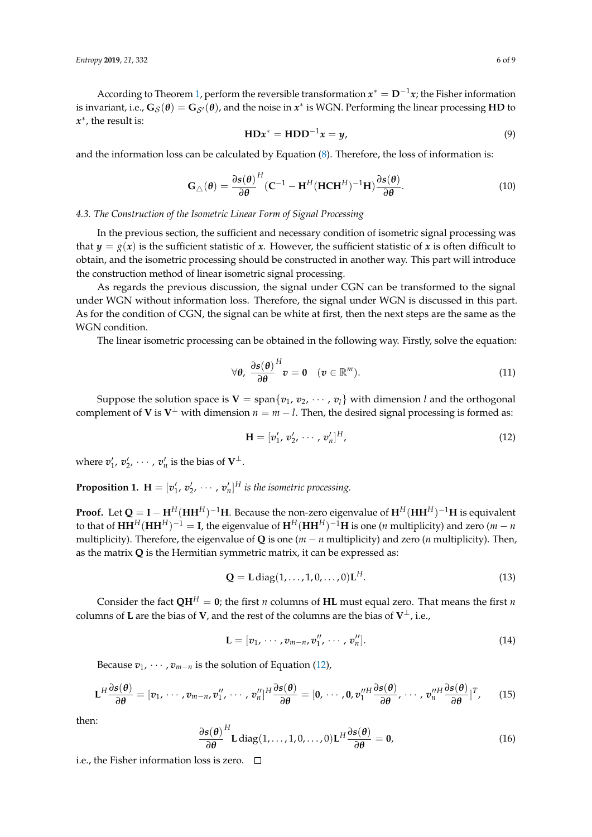According to Theorem [1,](#page-3-1) perform the reversible transformation  $x^* = \mathbf{D}^{-1}x$ ; the Fisher information is invariant, i.e.,  $G_S(\theta) = G_{S'}(\theta)$ , and the noise in  $x^*$  is WGN. Performing the linear processing **HD** to *x* ∗ , the result is:

$$
HDx^* = HDD^{-1}x = y,\t\t(9)
$$

and the information loss can be calculated by Equation [\(8\)](#page-4-0). Therefore, the loss of information is:

$$
\mathbf{G}_{\triangle}(\boldsymbol{\theta}) = \frac{\partial \boldsymbol{s}(\boldsymbol{\theta})}{\partial \boldsymbol{\theta}}^{H} (\mathbf{C}^{-1} - \mathbf{H}^{H} (\mathbf{H} \mathbf{C} \mathbf{H}^{H})^{-1} \mathbf{H}) \frac{\partial \boldsymbol{s}(\boldsymbol{\theta})}{\partial \boldsymbol{\theta}}.
$$
 (10)

## *4.3. The Construction of the Isometric Linear Form of Signal Processing*

In the previous section, the sufficient and necessary condition of isometric signal processing was that  $y = g(x)$  is the sufficient statistic of *x*. However, the sufficient statistic of *x* is often difficult to obtain, and the isometric processing should be constructed in another way. This part will introduce the construction method of linear isometric signal processing.

As regards the previous discussion, the signal under CGN can be transformed to the signal under WGN without information loss. Therefore, the signal under WGN is discussed in this part. As for the condition of CGN, the signal can be white at first, then the next steps are the same as the WGN condition.

The linear isometric processing can be obtained in the following way. Firstly, solve the equation:

$$
\forall \theta, \; \frac{\partial s(\theta)}{\partial \theta}^{H} v = 0 \quad (v \in \mathbb{R}^{m}). \tag{11}
$$

Suppose the solution space is  $V = \text{span}\{v_1, v_2, \dots, v_l\}$  with dimension *l* and the orthogonal complement of **V** is  $V^{\perp}$  with dimension  $n = m - l$ . Then, the desired signal processing is formed as:

<span id="page-5-0"></span>
$$
\mathbf{H} = [\mathbf{v}'_1, \mathbf{v}'_2, \cdots, \mathbf{v}'_n]^H,
$$
 (12)

where  $v'_1, v'_2, \cdots, v'_n$  is the bias of  $V^{\perp}$ .

**Proposition 1.**  $\mathbf{H} = [v'_1, v'_2, \cdots, v'_n]^H$  is the isometric processing.

**Proof.** Let  $Q = I - H^H(HH^H)^{-1}H$ . Because the non-zero eigenvalue of  $H^H(HH^H)^{-1}H$  is equivalent to that of  $HH^H(HH^H)^{-1} = I$ , the eigenvalue of  $H^H(HH^H)^{-1}H$  is one (*n* multiplicity) and zero (*m* − *n* multiplicity). Therefore, the eigenvalue of **Q** is one  $(m - n$  multiplicity) and zero  $(n$  multiplicity). Then, as the matrix **Q** is the Hermitian symmetric matrix, it can be expressed as:

$$
\mathbf{Q} = \mathbf{L} \operatorname{diag}(1, \dots, 1, 0, \dots, 0) \mathbf{L}^H.
$$
 (13)

Consider the fact  $QH^H = 0$ ; the first *n* columns of **HL** must equal zero. That means the first *n* columns of **L** are the bias of **V**, and the rest of the columns are the bias of **V** ⊥, i.e.,

$$
\mathbf{L} = [v_1, \cdots, v_{m-n}, v_1'', \cdots, v_n''].
$$
 (14)

Because  $v_1$ ,  $\cdots$ ,  $v_{m-n}$  is the solution of Equation [\(12\)](#page-5-0),

$$
\mathbf{L}^H \frac{\partial s(\boldsymbol{\theta})}{\partial \boldsymbol{\theta}} = [\boldsymbol{v}_1, \cdots, \boldsymbol{v}_{m-n}, \boldsymbol{v}_1'', \cdots, \boldsymbol{v}_n'']^H \frac{\partial s(\boldsymbol{\theta})}{\partial \boldsymbol{\theta}} = [\boldsymbol{0}, \cdots, \boldsymbol{0}, \boldsymbol{v}_1''^H \frac{\partial s(\boldsymbol{\theta})}{\partial \boldsymbol{\theta}}, \cdots, \boldsymbol{v}_n''^H \frac{\partial s(\boldsymbol{\theta})}{\partial \boldsymbol{\theta}}]^T, \qquad (15)
$$

then:

$$
\frac{\partial s(\theta)}{\partial \theta}^{H} \mathbf{L} \operatorname{diag}(1,\ldots,1,0,\ldots,0) \mathbf{L}^{H} \frac{\partial s(\theta)}{\partial \theta} = \mathbf{0},\tag{16}
$$

i.e., the Fisher information loss is zero.  $\Box$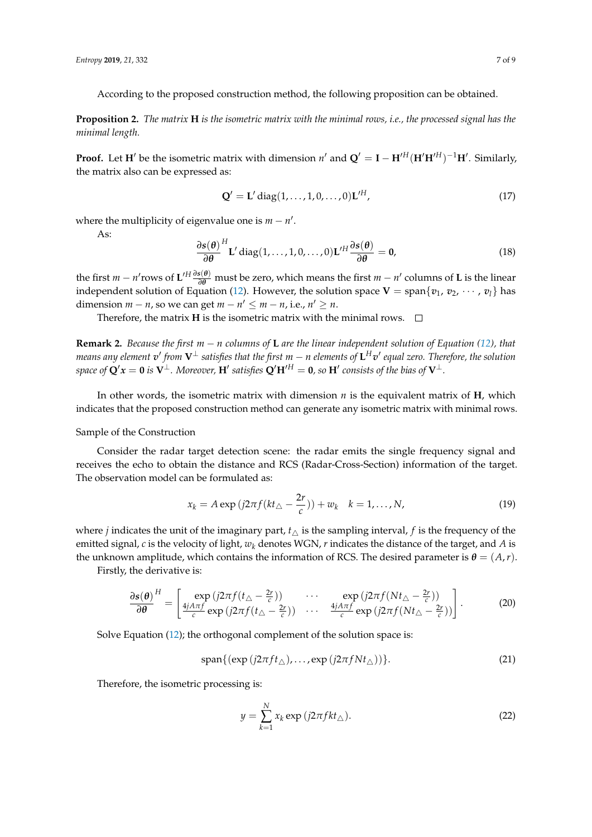According to the proposed construction method, the following proposition can be obtained.

**Proposition 2.** *The matrix* **H** *is the isometric matrix with the minimal rows, i.e., the processed signal has the minimal length.*

**Proof.** Let **H**<sup> $\prime$ </sup> be the isometric matrix with dimension *n*<sup> $\prime$ </sup> and  $\mathbf{Q}' = \mathbf{I} - \mathbf{H}'^H(\mathbf{H}'\mathbf{H}'^H)^{-1}\mathbf{H}'$ . Similarly, the matrix also can be expressed as:

$$
\mathbf{Q}' = \mathbf{L}' \operatorname{diag}(1, \dots, 1, 0, \dots, 0) \mathbf{L}'^H,
$$
\n(17)

where the multiplicity of eigenvalue one is  $m - n'$ .

As:

$$
\frac{\partial s(\theta)}{\partial \theta}^{H} \mathbf{L}' \operatorname{diag}(1, \dots, 1, 0, \dots, 0) \mathbf{L}'^{H} \frac{\partial s(\theta)}{\partial \theta} = \mathbf{0},
$$
\n(18)

the first *m* − *n'* rows of  $L'^H \frac{\partial s(\theta)}{\partial \theta}$  must be zero, which means the first *m* − *n'* columns of L is the linear independent solution of Equation [\(12\)](#page-5-0). However, the solution space  $V = \text{span}\{v_1, v_2, \cdots, v_l\}$  has dimension  $m - n$ , so we can get  $m - n' \le m - n$ , i.e.,  $n' \ge n$ .

Therefore, the matrix **H** is the isometric matrix with the minimal rows.  $\Box$ 

**Remark 2.** *Because the first m* − *n columns of* **L** *are the linear independent solution of Equation [\(12\)](#page-5-0), that*  $m$ eans any element  $v'$  from  $V^\perp$  satisfies that the first  $m-n$  elements of  $\mathsf{L}^H v'$  equal zero. Therefore, the solution  $s$ pace of  $\mathbf{Q}'x = \mathbf{0}$  is  $\mathbf{V}^\perp$ . Moreover,  $\mathbf{H}'$  satisfies  $\mathbf{Q}'\mathbf{H}'^H = \mathbf{0}$ , so  $\mathbf{H}'$  consists of the bias of  $\mathbf{V}^\perp$ .

In other words, the isometric matrix with dimension *n* is the equivalent matrix of **H**, which indicates that the proposed construction method can generate any isometric matrix with minimal rows.

## Sample of the Construction

Consider the radar target detection scene: the radar emits the single frequency signal and receives the echo to obtain the distance and RCS (Radar-Cross-Section) information of the target. The observation model can be formulated as:

$$
x_k = A \exp\left(j2\pi f (kt_{\triangle} - \frac{2r}{c})\right) + w_k \quad k = 1, \dots, N,
$$
\n(19)

where *j* indicates the unit of the imaginary part,  $t_{\wedge}$  is the sampling interval, *f* is the frequency of the emitted signal, *c* is the velocity of light, *w<sup>k</sup>* denotes WGN, *r* indicates the distance of the target, and *A* is the unknown amplitude, which contains the information of RCS. The desired parameter is  $\theta = (A, r)$ .

Firstly, the derivative is:

$$
\frac{\partial s(\theta)}{\partial \theta}^{H} = \begin{bmatrix} \exp\left(j2\pi f(t_{\triangle} - \frac{2r}{c})\right) & \cdots & \exp\left(j2\pi f(Nt_{\triangle} - \frac{2r}{c})\right) \\ \frac{4jA\pi f}{c} \exp\left(j2\pi f(t_{\triangle} - \frac{2r}{c})\right) & \cdots & \frac{4jA\pi f}{c} \exp\left(j2\pi f(Nt_{\triangle} - \frac{2r}{c})\right) \end{bmatrix}.
$$
 (20)

Solve Equation [\(12\)](#page-5-0); the orthogonal complement of the solution space is:

$$
\text{span}\{(\exp(j2\pi ft_\triangle),\ldots,\exp(j2\pi fNt_\triangle))\}.
$$
\n(21)

Therefore, the isometric processing is:

$$
y = \sum_{k=1}^{N} x_k \exp(j2\pi fkt_\triangle). \tag{22}
$$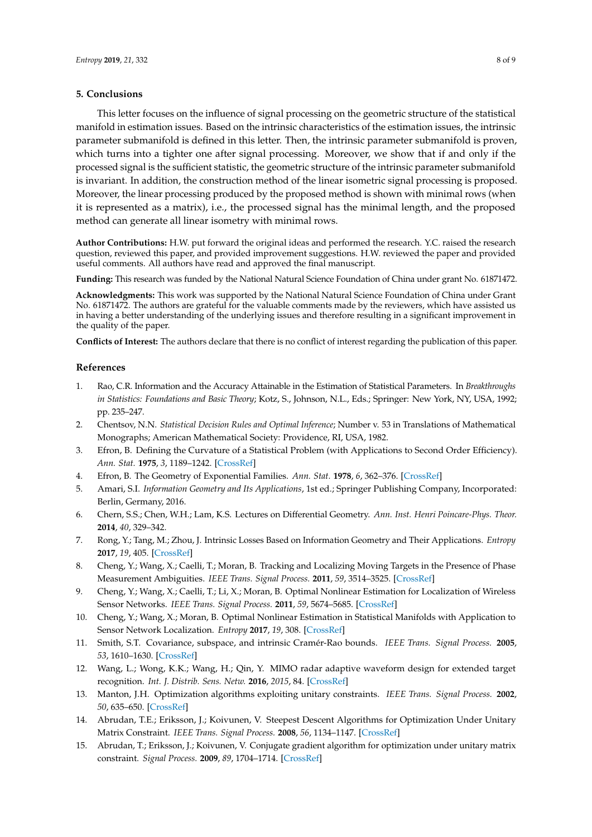## **5. Conclusions**

This letter focuses on the influence of signal processing on the geometric structure of the statistical manifold in estimation issues. Based on the intrinsic characteristics of the estimation issues, the intrinsic parameter submanifold is defined in this letter. Then, the intrinsic parameter submanifold is proven, which turns into a tighter one after signal processing. Moreover, we show that if and only if the processed signal is the sufficient statistic, the geometric structure of the intrinsic parameter submanifold is invariant. In addition, the construction method of the linear isometric signal processing is proposed. Moreover, the linear processing produced by the proposed method is shown with minimal rows (when it is represented as a matrix), i.e., the processed signal has the minimal length, and the proposed method can generate all linear isometry with minimal rows.

**Author Contributions:** H.W. put forward the original ideas and performed the research. Y.C. raised the research question, reviewed this paper, and provided improvement suggestions. H.W. reviewed the paper and provided useful comments. All authors have read and approved the final manuscript.

**Funding:** This research was funded by the National Natural Science Foundation of China under grant No. 61871472.

**Acknowledgments:** This work was supported by the National Natural Science Foundation of China under Grant No. 61871472. The authors are grateful for the valuable comments made by the reviewers, which have assisted us in having a better understanding of the underlying issues and therefore resulting in a significant improvement in the quality of the paper.

**Conflicts of Interest:** The authors declare that there is no conflict of interest regarding the publication of this paper.

## **References**

- <span id="page-7-0"></span>1. Rao, C.R. Information and the Accuracy Attainable in the Estimation of Statistical Parameters. In *Breakthroughs in Statistics: Foundations and Basic Theory*; Kotz, S., Johnson, N.L., Eds.; Springer: New York, NY, USA, 1992; pp. 235–247.
- <span id="page-7-1"></span>2. Chentsov, N.N. *Statistical Decision Rules and Optimal Inference*; Number v. 53 in Translations of Mathematical Monographs; American Mathematical Society: Providence, RI, USA, 1982.
- <span id="page-7-2"></span>3. Efron, B. Defining the Curvature of a Statistical Problem (with Applications to Second Order Efficiency). *Ann. Stat.* **1975**, *3*, 1189–1242. [\[CrossRef\]](http://dx.doi.org/10.1214/aos/1176343282)
- <span id="page-7-3"></span>4. Efron, B. The Geometry of Exponential Families. *Ann. Stat.* **1978**, *6*, 362–376. [\[CrossRef\]](http://dx.doi.org/10.1214/aos/1176344130)
- <span id="page-7-4"></span>5. Amari, S.I. *Information Geometry and Its Applications*, 1st ed.; Springer Publishing Company, Incorporated: Berlin, Germany, 2016.
- <span id="page-7-5"></span>6. Chern, S.S.; Chen, W.H.; Lam, K.S. Lectures on Differential Geometry. *Ann. Inst. Henri Poincare-Phys. Theor.* **2014**, *40*, 329–342.
- <span id="page-7-6"></span>7. Rong, Y.; Tang, M.; Zhou, J. Intrinsic Losses Based on Information Geometry and Their Applications. *Entropy* **2017**, *19*, 405. [\[CrossRef\]](http://dx.doi.org/10.3390/e19080405)
- <span id="page-7-7"></span>8. Cheng, Y.; Wang, X.; Caelli, T.; Moran, B. Tracking and Localizing Moving Targets in the Presence of Phase Measurement Ambiguities. *IEEE Trans. Signal Process.* **2011**, *59*, 3514–3525. [\[CrossRef\]](http://dx.doi.org/10.1109/TSP.2011.2152399)
- 9. Cheng, Y.; Wang, X.; Caelli, T.; Li, X.; Moran, B. Optimal Nonlinear Estimation for Localization of Wireless Sensor Networks. *IEEE Trans. Signal Process.* **2011**, *59*, 5674–5685. [\[CrossRef\]](http://dx.doi.org/10.1109/TSP.2011.2166547)
- <span id="page-7-8"></span>10. Cheng, Y.; Wang, X.; Moran, B. Optimal Nonlinear Estimation in Statistical Manifolds with Application to Sensor Network Localization. *Entropy* **2017**, *19*, 308. [\[CrossRef\]](http://dx.doi.org/10.3390/e19070308)
- <span id="page-7-9"></span>11. Smith, S.T. Covariance, subspace, and intrinsic Crame´r-Rao bounds. *IEEE Trans. Signal Process.* **2005**, *53*, 1610–1630. [\[CrossRef\]](http://dx.doi.org/10.1109/TSP.2005.845428)
- <span id="page-7-10"></span>12. Wang, L.; Wong, K.K.; Wang, H.; Qin, Y. MIMO radar adaptive waveform design for extended target recognition. *Int. J. Distrib. Sens. Netw.* **2016**, *2015*, 84. [\[CrossRef\]](http://dx.doi.org/10.1155/2015/154931)
- <span id="page-7-11"></span>13. Manton, J.H. Optimization algorithms exploiting unitary constraints. *IEEE Trans. Signal Process.* **2002**, *50*, 635–650. [\[CrossRef\]](http://dx.doi.org/10.1109/78.984753)
- 14. Abrudan, T.E.; Eriksson, J.; Koivunen, V. Steepest Descent Algorithms for Optimization Under Unitary Matrix Constraint. *IEEE Trans. Signal Process.* **2008**, *56*, 1134–1147. [\[CrossRef\]](http://dx.doi.org/10.1109/TSP.2007.908999)
- <span id="page-7-12"></span>15. Abrudan, T.; Eriksson, J.; Koivunen, V. Conjugate gradient algorithm for optimization under unitary matrix constraint. *Signal Process.* **2009**, *89*, 1704–1714. [\[CrossRef\]](http://dx.doi.org/10.1016/j.sigpro.2009.03.015)